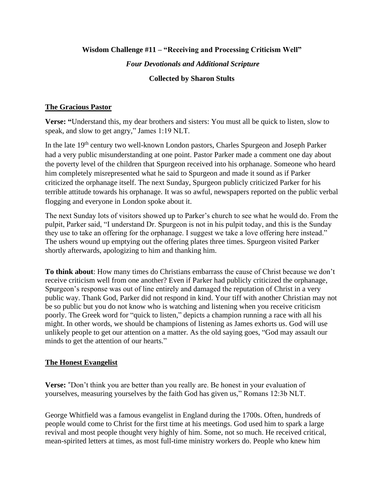#### **Wisdom Challenge #11 – "Receiving and Processing Criticism Well"**

#### *Four Devotionals and Additional Scripture*

### **Collected by Sharon Stults**

#### **The Gracious Pastor**

**Verse: "**Understand this, my dear brothers and sisters: You must all be quick to listen, slow to speak, and slow to get angry," James 1:19 NLT.

In the late 19<sup>th</sup> century two well-known London pastors, Charles Spurgeon and Joseph Parker had a very public misunderstanding at one point. Pastor Parker made a comment one day about the poverty level of the children that Spurgeon received into his orphanage. Someone who heard him completely misrepresented what he said to Spurgeon and made it sound as if Parker criticized the orphanage itself. The next Sunday, Spurgeon publicly criticized Parker for his terrible attitude towards his orphanage. It was so awful, newspapers reported on the public verbal flogging and everyone in London spoke about it.

The next Sunday lots of visitors showed up to Parker's church to see what he would do. From the pulpit, Parker said, "I understand Dr. Spurgeon is not in his pulpit today, and this is the Sunday they use to take an offering for the orphanage. I suggest we take a love offering here instead." The ushers wound up emptying out the offering plates three times. Spurgeon visited Parker shortly afterwards, apologizing to him and thanking him.

**To think about**: How many times do Christians embarrass the cause of Christ because we don't receive criticism well from one another? Even if Parker had publicly criticized the orphanage, Spurgeon's response was out of line entirely and damaged the reputation of Christ in a very public way. Thank God, Parker did not respond in kind. Your tiff with another Christian may not be so public but you do not know who is watching and listening when you receive criticism poorly. The Greek word for "quick to listen," depicts a champion running a race with all his might. In other words, we should be champions of listening as James exhorts us. God will use unlikely people to get our attention on a matter. As the old saying goes, "God may assault our minds to get the attention of our hearts."

## **The Honest Evangelist**

**Verse:** "Don't think you are better than you really are. Be honest in your evaluation of yourselves, measuring yourselves by the faith God has given us," Romans 12:3b NLT.

George Whitfield was a famous evangelist in England during the 1700s. Often, hundreds of people would come to Christ for the first time at his meetings. God used him to spark a large revival and most people thought very highly of him. Some, not so much. He received critical, mean-spirited letters at times, as most full-time ministry workers do. People who knew him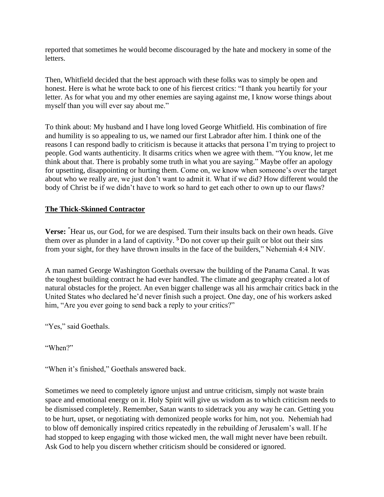reported that sometimes he would become discouraged by the hate and mockery in some of the letters.

Then, Whitfield decided that the best approach with these folks was to simply be open and honest. Here is what he wrote back to one of his fiercest critics: "I thank you heartily for your letter. As for what you and my other enemies are saying against me, I know worse things about myself than you will ever say about me."

To think about: My husband and I have long loved George Whitfield. His combination of fire and humility is so appealing to us, we named our first Labrador after him. I think one of the reasons I can respond badly to criticism is because it attacks that persona I'm trying to project to people. God wants authenticity. It disarms critics when we agree with them. "You know, let me think about that. There is probably some truth in what you are saying." Maybe offer an apology for upsetting, disappointing or hurting them. Come on, we know when someone's over the target about who we really are, we just don't want to admit it. What if we did? How different would the body of Christ be if we didn't have to work so hard to get each other to own up to our flaws?

## **The Thick-Skinned Contractor**

**Verse: "**Hear us, our God, for we are despised. Turn their insults back on their own heads. Give them over as plunder in a land of captivity. **<sup>5</sup>** Do not cover up their guilt or blot out their sins from your sight, for they have thrown insults in the face of the builders," Nehemiah 4:4 NIV.

A man named George Washington Goethals oversaw the building of the Panama Canal. It was the toughest building contract he had ever handled. The climate and geography created a lot of natural obstacles for the project. An even bigger challenge was all his armchair critics back in the United States who declared he'd never finish such a project. One day, one of his workers asked him, "Are you ever going to send back a reply to your critics?"

"Yes," said Goethals.

"When?"

"When it's finished," Goethals answered back.

Sometimes we need to completely ignore unjust and untrue criticism, simply not waste brain space and emotional energy on it. Holy Spirit will give us wisdom as to which criticism needs to be dismissed completely. Remember, Satan wants to sidetrack you any way he can. Getting you to be hurt, upset, or negotiating with demonized people works for him, not you. Nehemiah had to blow off demonically inspired critics repeatedly in the rebuilding of Jerusalem's wall. If he had stopped to keep engaging with those wicked men, the wall might never have been rebuilt. Ask God to help you discern whether criticism should be considered or ignored.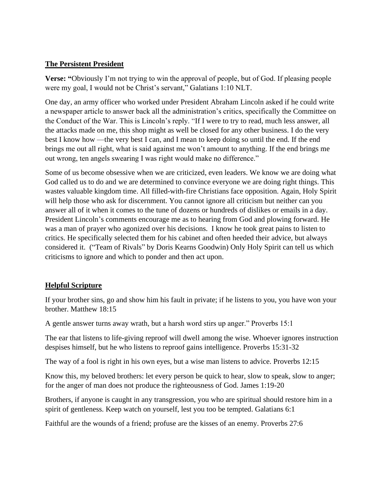## **The Persistent President**

**Verse: "**Obviously I'm not trying to win the approval of people, but of God. If pleasing people were my goal, I would not be Christ's servant," Galatians 1:10 NLT.

One day, an army officer who worked under President Abraham Lincoln asked if he could write a newspaper article to answer back all the administration's critics, specifically the Committee on the Conduct of the War. This is Lincoln's reply. "If I were to try to read, much less answer, all the attacks made on me, this shop might as well be closed for any other business. I do the very best I know how —the very best I can, and I mean to keep doing so until the end. If the end brings me out all right, what is said against me won't amount to anything. If the end brings me out wrong, ten angels swearing I was right would make no difference."

Some of us become obsessive when we are criticized, even leaders. We know we are doing what God called us to do and we are determined to convince everyone we are doing right things. This wastes valuable kingdom time. All filled-with-fire Christians face opposition. Again, Holy Spirit will help those who ask for discernment. You cannot ignore all criticism but neither can you answer all of it when it comes to the tune of dozens or hundreds of dislikes or emails in a day. President Lincoln's comments encourage me as to hearing from God and plowing forward. He was a man of prayer who agonized over his decisions. I know he took great pains to listen to critics. He specifically selected them for his cabinet and often heeded their advice, but always considered it. ("Team of Rivals" by Doris Kearns Goodwin) Only Holy Spirit can tell us which criticisms to ignore and which to ponder and then act upon.

# **Helpful Scripture**

If your brother sins, go and show him his fault in private; if he listens to you, you have won your brother. Matthew 18:15

A gentle answer turns away wrath, but a harsh word stirs up anger." Proverbs 15:1

The ear that listens to life-giving reproof will dwell among the wise. Whoever ignores instruction despises himself, but he who listens to reproof gains intelligence. Proverbs 15:31-32

The way of a fool is right in his own eyes, but a wise man listens to advice. Proverbs 12:15

Know this, my beloved brothers: let every person be quick to hear, slow to speak, slow to anger; for the anger of man does not produce the righteousness of God. James 1:19-20

Brothers, if anyone is caught in any transgression, you who are spiritual should restore him in a spirit of gentleness. Keep watch on yourself, lest you too be tempted. Galatians 6:1

Faithful are the wounds of a friend; profuse are the kisses of an enemy. Proverbs 27:6